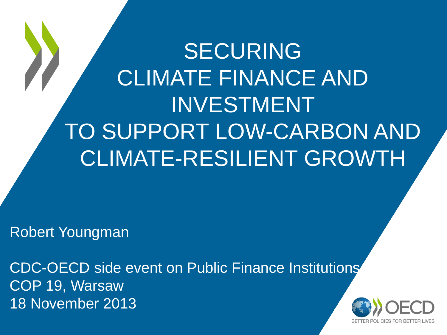# SECURING CLIMATE FINANCE AND INVESTMENT TO SUPPORT LOW-CARBON AND CLIMATE-RESILIENT GROWTH

Robert Youngman

CDC-OECD side event on Public Finance Institutions COP 19, Warsaw 18 November 2013

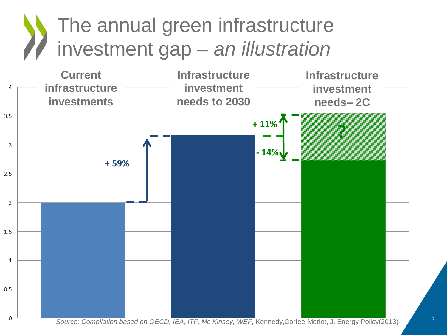## The annual green infrastructure investment gap – *an illustration*

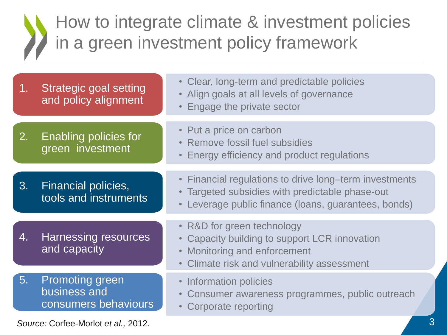### How to integrate climate & investment policies in a green investment policy framework

| 1.                                       | <b>Strategic goal setting</b><br>and policy alignment          | • Clear, long-term and predictable policies<br>Align goals at all levels of governance<br>Engage the private sector                                                        |
|------------------------------------------|----------------------------------------------------------------|----------------------------------------------------------------------------------------------------------------------------------------------------------------------------|
| 2.                                       | Enabling policies for<br>green investment                      | • Put a price on carbon<br>• Remove fossil fuel subsidies<br>Energy efficiency and product regulations<br>$\bullet$                                                        |
| 3.                                       | Financial policies,<br>tools and instruments                   | • Financial regulations to drive long-term investments<br>Targeted subsidies with predictable phase-out<br>Leverage public finance (Ioans, guarantees, bonds)<br>$\bullet$ |
| 4.                                       | <b>Harnessing resources</b><br>and capacity                    | • R&D for green technology<br>• Capacity building to support LCR innovation<br>Monitoring and enforcement<br>$\bullet$<br>• Climate risk and vulnerability assessment      |
| 5.                                       | <b>Promoting green</b><br>business and<br>consumers behaviours | • Information policies<br>Consumer awareness programmes, public outreach<br>$\bullet$<br>Corporate reporting<br>$\bullet$                                                  |
| 3<br>Source: Corfee-Morlot et al., 2012. |                                                                |                                                                                                                                                                            |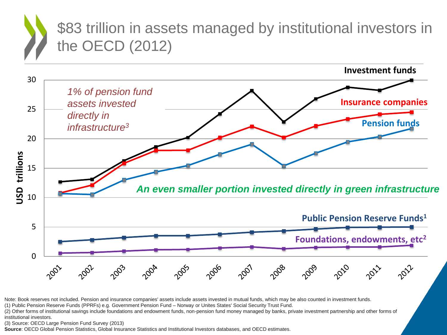#### \$83 trillion in assets managed by institutional investors in the OECD (2012)



Note: Book reserves not included. Pension and insurance companies' assets include assets invested in mutual funds, which may be also counted in investment funds.

(1) Public Pension Reserve Funds (PPRFs) e.g. Government Pension Fund – Norway or Unites States' Social Security Trust Fund.

(2) Other forms of institutional savings include foundations and endowment funds, non-pension fund money managed by banks, private investment partnership and other forms of institutional investors.

(3) Source: OECD Large Pension Fund Survey (2013)

**Source**: OECD Global Pension Statistics, Global Insurance Statistics and Institutional Investors databases, and OECD estimates.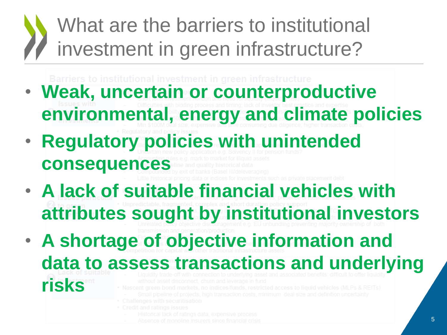## What are the barriers to institutional investment in green infrastructure?

- **Weak, uncertain or counterproductive environmental, energy and climate policies**
- **Regulatory policies with unintended consequences**
- **A lack of suitable financial vehicles with attributes sought by institutional investors**
- **A shortage of objective information and**

**data to assess transactions and underlying** 

- 
- 
- 
- 

**risks**

- 
-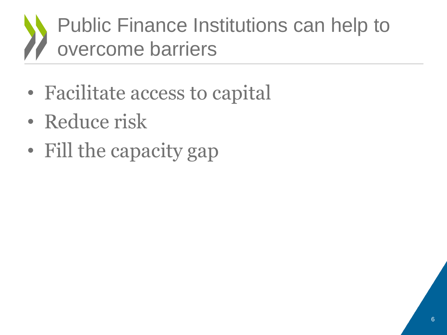## Public Finance Institutions can help to overcome barriers

- Facilitate access to capital
- Reduce risk
- Fill the capacity gap